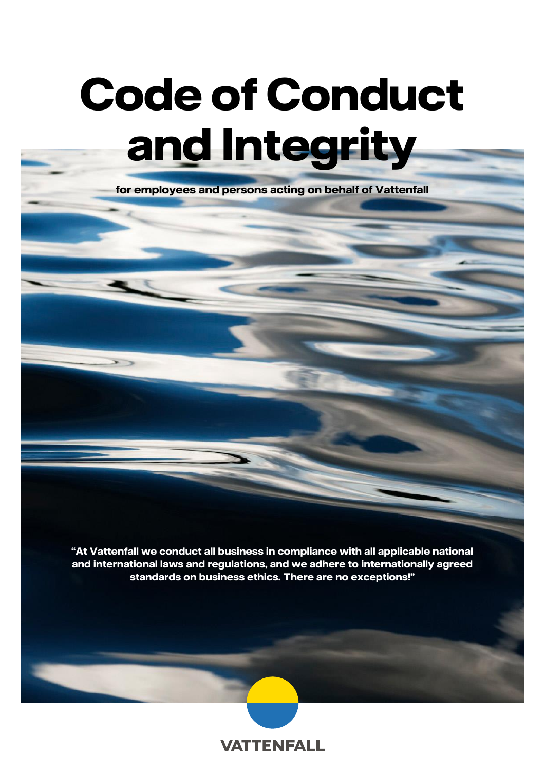# **Code of Conduct and Integrity**

**for employees and persons acting on behalf of Vattenfall**

**"At Vattenfall we conduct all business in compliance with all applicable national and international laws and regulations, and we adhere to internationally agreed standards on business ethics. There are no exceptions!"**

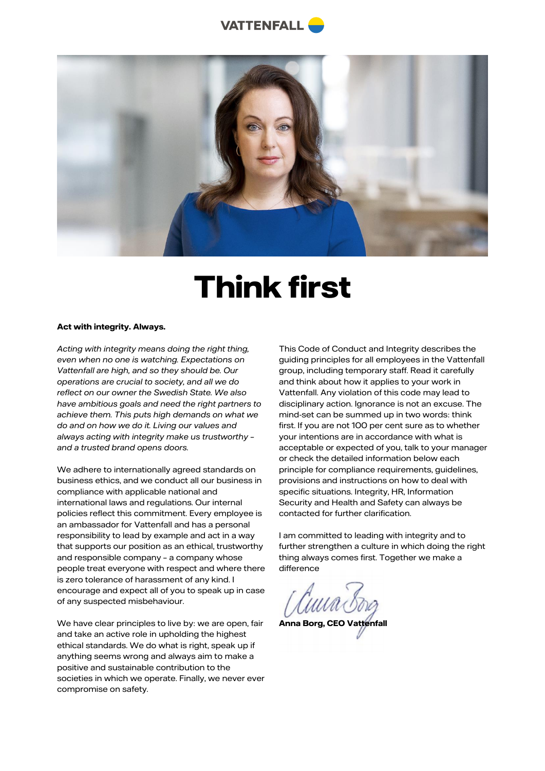



# **Think first**

#### **Act with integrity. Always.**

*Acting with integrity means doing the right thing, even when no one is watching. Expectations on Vattenfall are high, and so they should be. Our operations are crucial to society, and all we do reflect on our owner the Swedish State. We also have ambitious goals and need the right partners to achieve them. This puts high demands on what we do and on how we do it. Living our values and always acting with integrity make us trustworthy – and a trusted brand opens doors.*

We adhere to internationally agreed standards on business ethics, and we conduct all our business in compliance with applicable national and international laws and regulations. Our internal policies reflect this commitment. Every employee is an ambassador for Vattenfall and has a personal responsibility to lead by example and act in a way that supports our position as an ethical, trustworthy and responsible company – a company whose people treat everyone with respect and where there is zero tolerance of harassment of any kind. I encourage and expect all of you to speak up in case of any suspected misbehaviour.

We have clear principles to live by: we are open, fair and take an active role in upholding the highest ethical standards. We do what is right, speak up if anything seems wrong and always aim to make a positive and sustainable contribution to the societies in which we operate. Finally, we never ever compromise on safety.

This Code of Conduct and Integrity describes the guiding principles for all employees in the Vattenfall group, including temporary staff. Read it carefully and think about how it applies to your work in Vattenfall. Any violation of this code may lead to disciplinary action. Ignorance is not an excuse. The mind-set can be summed up in two words: think first. If you are not 100 per cent sure as to whether your intentions are in accordance with what is acceptable or expected of you, talk to your manager or check the detailed information below each principle for compliance requirements, guidelines, provisions and instructions on how to deal with specific situations. Integrity, HR, Information Security and Health and Safety can always be contacted for further clarification.

I am committed to leading with integrity and to further strengthen a culture in which doing the right thing always comes first. Together we make a difference

**Anna Borg, CEO Vattenfall**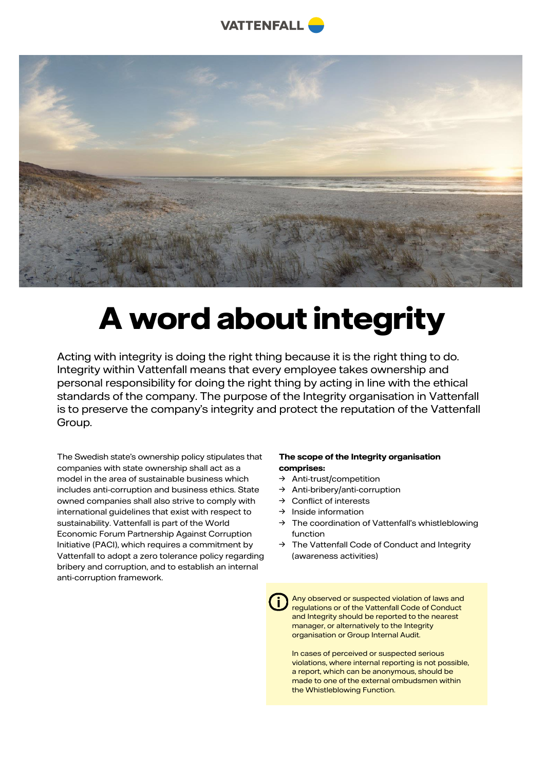



# **A word about integrity**

Acting with integrity is doing the right thing because it is the right thing to do. Integrity within Vattenfall means that every employee takes ownership and personal responsibility for doing the right thing by acting in line with the ethical standards of the company. The purpose of the Integrity organisation in Vattenfall is to preserve the company's integrity and protect the reputation of the Vattenfall Group.

The Swedish state's ownership policy stipulates that companies with state ownership shall act as a model in the area of sustainable business which includes anti-corruption and business ethics. State owned companies shall also strive to comply with international guidelines that exist with respect to sustainability. Vattenfall is part of the World Economic Forum Partnership Against Corruption Initiative (PACI), which requires a commitment by Vattenfall to adopt a zero tolerance policy regarding bribery and corruption, and to establish an internal anti-corruption framework.

#### **The scope of the Integrity organisation comprises:**

- → Anti-trust/competition
- → Anti-bribery/anti-corruption
- → Conflict of interests
- → Inside information
- → The coordination of Vattenfall's whistleblowing function
- → The Vattenfall Code of Conduct and Integrity (awareness activities)

Any observed or suspected violation of laws and regulations or of the Vattenfall Code of Conduct and Integrity should be reported to the nearest manager, or alternatively to the Integrity organisation or Group Internal Audit.

In cases of perceived or suspected serious violations, where internal reporting is not possible, a report, which can be anonymous, should be made to one of the external ombudsmen within the Whistleblowing Function.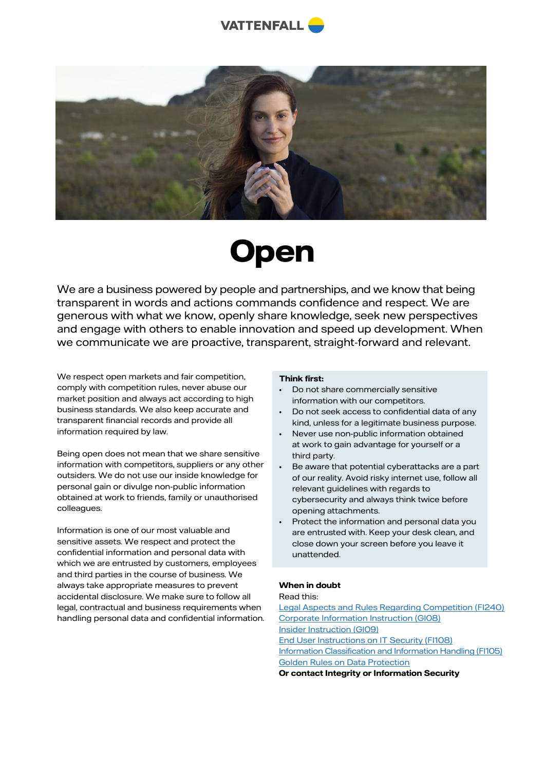



### **Open**

We are a business powered by people and partnerships, and we know that being transparent in words and actions commands confidence and respect. We are generous with what we know, openly share knowledge, seek new perspectives and engage with others to enable innovation and speed up development. When we communicate we are proactive, transparent, straight-forward and relevant.

We respect open markets and fair competition, comply with competition rules, never abuse our market position and always act according to high business standards. We also keep accurate and transparent financial records and provide all information required by law.

Being open does not mean that we share sensitive information with competitors, suppliers or any other outsiders. We do not use our inside knowledge for personal gain or divulge non-public information obtained at work to friends, family or unauthorised colleagues.

Information is one of our most valuable and sensitive assets. We respect and protect the confidential information and personal data with which we are entrusted by customers, employees and third parties in the course of business. We always take appropriate measures to prevent accidental disclosure. We make sure to follow all legal, contractual and business requirements when handling personal data and confidential information.

#### **Think first:**

- Do not share commercially sensitive information with our competitors.
- Do not seek access to confidential data of any kind, unless for a legitimate business purpose.
- Never use non-public information obtained at work to gain advantage for yourself or a third party.
- Be aware that potential cyberattacks are a part of our reality. Avoid risky internet use, follow all relevant guidelines with regards to cybersecurity and always think twice before opening attachments.
- Protect the information and personal data you are entrusted with. Keep your desk clean, and close down your screen before you leave it unattended.

#### **When in doubt**

#### Read this:

[Legal Aspects and Rules Regarding Competition \(FI240\)](https://intranet.vattenfall.com/lldoc/VMS_FI240) [Corporate Information Instruction \(GI08\)](https://intranet.vattenfall.com/lldoc/VMS_GI08) [Insider Instruction \(GI09\)](https://intranet.vattenfall.com/lldoc/VMS_GI09) [End User Instructions on IT Security \(FI108\)](https://intranet.vattenfall.com/lldoc/VMS_FI108) [Information Classification and Information Handling \(FI105\)](https://intranet.vattenfall.com/lldoc/VMS_FI105) [Golden Rules on Data Protection](https://intranet.vattenfall.com/globalassets/1.-intranet/2.-news/2018/02-february/gdpr/Golden-Rules-Data-protection-English.pdf?_t_id=E0uK_custqEfK3ETU7VwVg%3d%3d&_t_q=golden+rules&_t_tags=language%3ade%2csiteid%3a8917cd94-89b9-4cf7-b8f2-74d0e7715035&_t_ip=104.210.236.28%3a56648&_t_hit.id=Intranet_Model_ContentTypes_Media_DocumentMedia/_3e09fa29-9e5d-4c32-abc9-6b8f2ff75f60&_t_hit.pos=6)

**Or contact Integrity or Information Security**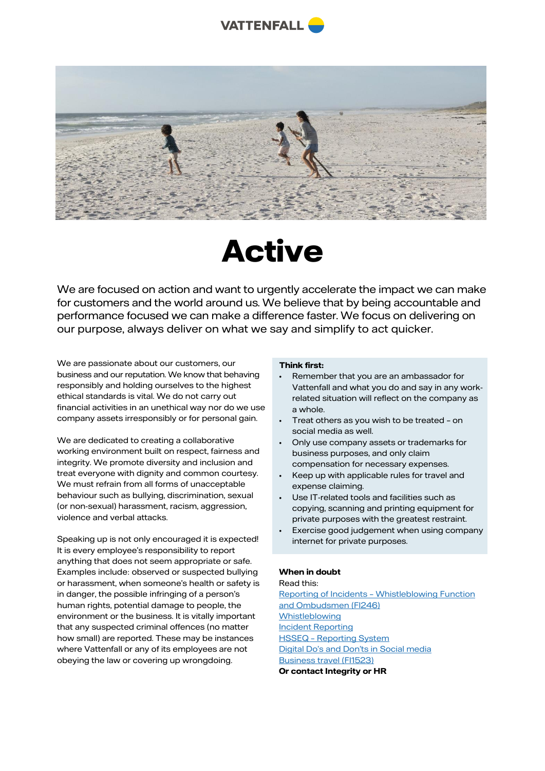



### **Active**

We are focused on action and want to urgently accelerate the impact we can make for customers and the world around us. We believe that by being accountable and performance focused we can make a difference faster. We focus on delivering on our purpose, always deliver on what we say and simplify to act quicker.

We are passionate about our customers, our business and our reputation. We know that behaving responsibly and holding ourselves to the highest ethical standards is vital. We do not carry out financial activities in an unethical way nor do we use company assets irresponsibly or for personal gain.

We are dedicated to creating a collaborative working environment built on respect, fairness and integrity. We promote diversity and inclusion and treat everyone with dignity and common courtesy. We must refrain from all forms of unacceptable behaviour such as bullying, discrimination, sexual (or non-sexual) harassment, racism, aggression, violence and verbal attacks.

Speaking up is not only encouraged it is expected! It is every employee's responsibility to report anything that does not seem appropriate or safe. Examples include: observed or suspected bullying or harassment, when someone's health or safety is in danger, the possible infringing of a person's human rights, potential damage to people, the environment or the business. It is vitally important that any suspected criminal offences (no matter how small) are reported. These may be instances where Vattenfall or any of its employees are not obeying the law or covering up wrongdoing.

#### **Think first:**

- Remember that you are an ambassador for Vattenfall and what you do and say in any workrelated situation will reflect on the company as a whole.
- Treat others as you wish to be treated on social media as well.
- Only use company assets or trademarks for business purposes, and only claim compensation for necessary expenses.
- Keep up with applicable rules for travel and expense claiming.
- Use IT-related tools and facilities such as copying, scanning and printing equipment for private purposes with the greatest restraint.
- Exercise good judgement when using company internet for private purposes.

#### **When in doubt**

#### Read this:

Reporting of Incidents – [Whistleblowing Function](https://intranet.vattenfall.com/lldoc/VMS_FI246)  [and Ombudsmen \(FI246\)](https://intranet.vattenfall.com/lldoc/VMS_FI246) **[Whistleblowing](https://intranet.vattenfall.com/en/our-way-of-working/integrity/whistleblowing/)** [Incident Reporting](https://intranet.vattenfall.com/en/my-tools-and-services/tools-and-services-from-a-z/incident-reporting/) HSSEQ – [Reporting System](https://intranet.vattenfall.com/en/my-tools-and-services/tools-and-services-from-a-z/report-an-incident/hsseq--reporting-system/) [Digital Do's and Don'ts in Social media](https://intranet.vattenfall.com/en/my-tools-and-services/tools-and-services-from-a-z/the-digital-hub/digital-dos-and-donts/) [Business travel \(FI1523\)](https://intranet.vattenfall.com/lldoc/VMS_FI1523)

**Or contact Integrity or HR**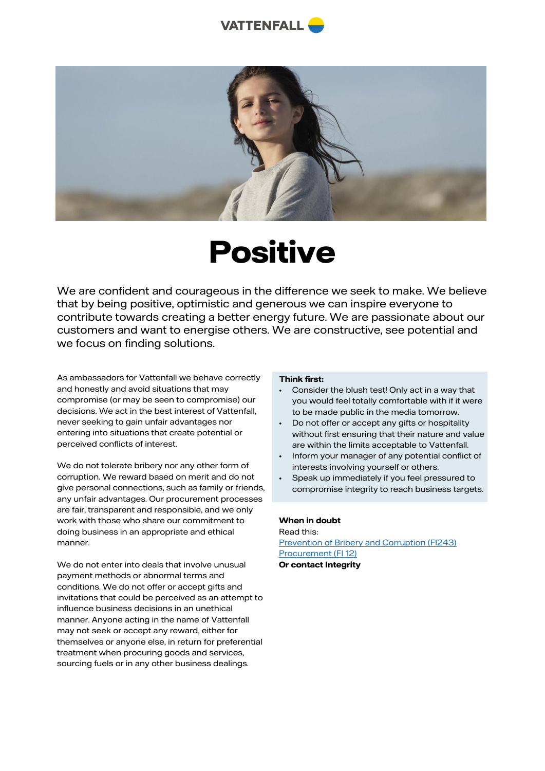



# **Positive**

We are confident and courageous in the difference we seek to make. We believe that by being positive, optimistic and generous we can inspire everyone to contribute towards creating a better energy future. We are passionate about our customers and want to energise others. We are constructive, see potential and we focus on finding solutions.

As ambassadors for Vattenfall we behave correctly and honestly and avoid situations that may compromise (or may be seen to compromise) our decisions. We act in the best interest of Vattenfall, never seeking to gain unfair advantages nor entering into situations that create potential or perceived conflicts of interest.

We do not tolerate bribery nor any other form of corruption. We reward based on merit and do not give personal connections, such as family or friends, any unfair advantages. Our procurement processes are fair, transparent and responsible, and we only work with those who share our commitment to doing business in an appropriate and ethical manner.

We do not enter into deals that involve unusual payment methods or abnormal terms and conditions. We do not offer or accept gifts and invitations that could be perceived as an attempt to influence business decisions in an unethical manner. Anyone acting in the name of Vattenfall may not seek or accept any reward, either for themselves or anyone else, in return for preferential treatment when procuring goods and services, sourcing fuels or in any other business dealings.

#### **Think first:**

- Consider the blush test! Only act in a way that you would feel totally comfortable with if it were to be made public in the media tomorrow.
- Do not offer or accept any gifts or hospitality without first ensuring that their nature and value are within the limits acceptable to Vattenfall.
- Inform your manager of any potential conflict of interests involving yourself or others.
- Speak up immediately if you feel pressured to compromise integrity to reach business targets.

#### **When in doubt**

Read this: [Prevention of Bribery and Corruption \(FI243\)](https://intranet.vattenfall.com/lldoc/VMS_FI243) [Procurement \(FI 12\)](https://intranet.vattenfall.com/lldoc/VMS_FI12) **Or contact Integrity**